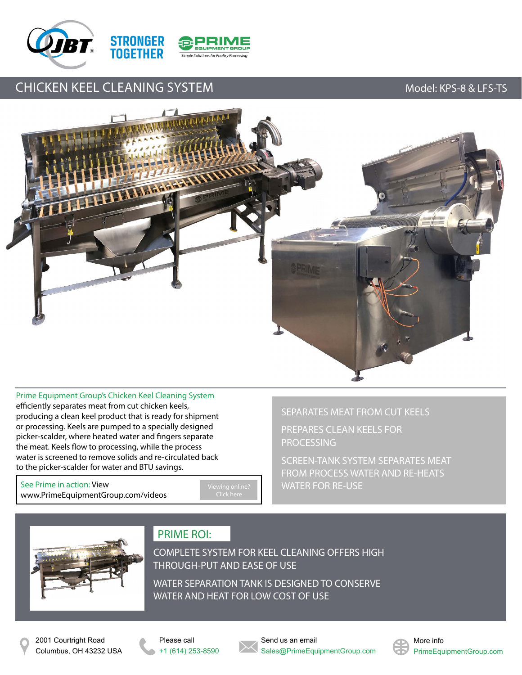



# CHICKEN KEEL CLEANING SYSTEM MODE CHICKEN Model: KPS-8 & LFS-TS



Prime Equipment Group's Chicken Keel Cleaning System efficiently separates meat from cut chicken keels, producing a clean keel product that is ready for shipment or processing. Keels are pumped to a specially designed picker-scalder, where heated water and fingers separate the meat. Keels flow to processing, while the process water is screened to remove solids and re-circulated back to the picker-scalder for water and BTU savings.

See Prime in action: View [www.PrimeEquipmentGroup.com/videos](http://www.primeequipmentgroup.com/videos)

SEPARATES MEAT FROM CUT KEELS

PREPARES CLEAN KEELS FOR **PROCESSING** 

SCREEN-TANK SYSTEM SEPARATES MEAT FROM PROCESS WATER AND RE-HEATS WATER FOR RE-USE



## PRIME ROI:

COMPLETE SYSTEM FOR KEEL CLEANING OFFERS HIGH THROUGH-PUT AND EASE OF USE

WATER SEPARATION TANK IS DESIGNED TO CONSERVE WATER AND HEAT FOR LOW COST OF USE